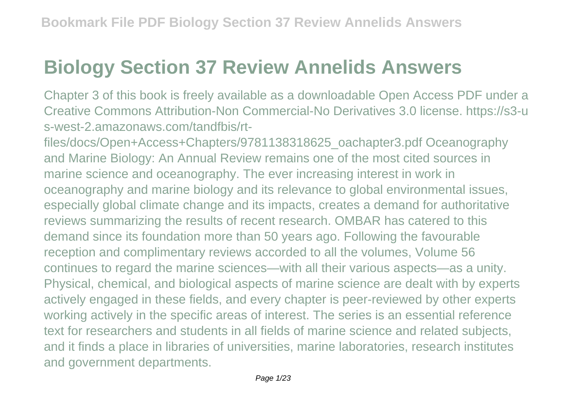## **Biology Section 37 Review Annelids Answers**

Chapter 3 of this book is freely available as a downloadable Open Access PDF under a Creative Commons Attribution-Non Commercial-No Derivatives 3.0 license. https://s3-u s-west-2.amazonaws.com/tandfbis/rt-

files/docs/Open+Access+Chapters/9781138318625\_oachapter3.pdf Oceanography and Marine Biology: An Annual Review remains one of the most cited sources in marine science and oceanography. The ever increasing interest in work in oceanography and marine biology and its relevance to global environmental issues, especially global climate change and its impacts, creates a demand for authoritative reviews summarizing the results of recent research. OMBAR has catered to this demand since its foundation more than 50 years ago. Following the favourable reception and complimentary reviews accorded to all the volumes, Volume 56 continues to regard the marine sciences—with all their various aspects—as a unity. Physical, chemical, and biological aspects of marine science are dealt with by experts actively engaged in these fields, and every chapter is peer-reviewed by other experts working actively in the specific areas of interest. The series is an essential reference text for researchers and students in all fields of marine science and related subjects, and it finds a place in libraries of universities, marine laboratories, research institutes and government departments.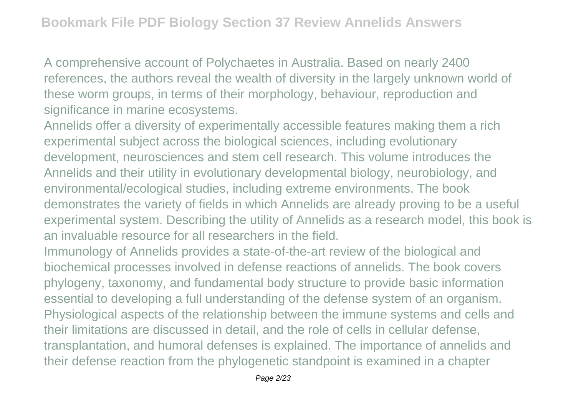A comprehensive account of Polychaetes in Australia. Based on nearly 2400 references, the authors reveal the wealth of diversity in the largely unknown world of these worm groups, in terms of their morphology, behaviour, reproduction and significance in marine ecosystems.

Annelids offer a diversity of experimentally accessible features making them a rich experimental subject across the biological sciences, including evolutionary development, neurosciences and stem cell research. This volume introduces the Annelids and their utility in evolutionary developmental biology, neurobiology, and environmental/ecological studies, including extreme environments. The book demonstrates the variety of fields in which Annelids are already proving to be a useful experimental system. Describing the utility of Annelids as a research model, this book is an invaluable resource for all researchers in the field.

Immunology of Annelids provides a state-of-the-art review of the biological and biochemical processes involved in defense reactions of annelids. The book covers phylogeny, taxonomy, and fundamental body structure to provide basic information essential to developing a full understanding of the defense system of an organism. Physiological aspects of the relationship between the immune systems and cells and their limitations are discussed in detail, and the role of cells in cellular defense, transplantation, and humoral defenses is explained. The importance of annelids and their defense reaction from the phylogenetic standpoint is examined in a chapter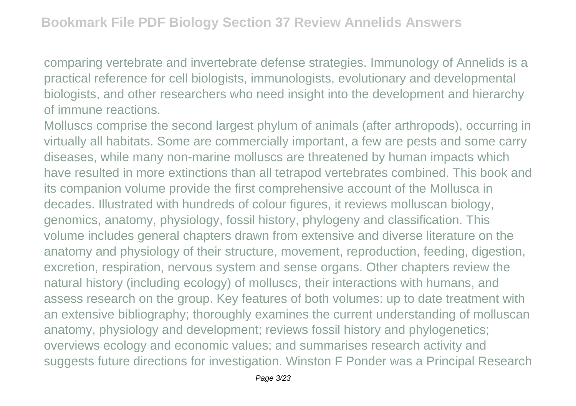comparing vertebrate and invertebrate defense strategies. Immunology of Annelids is a practical reference for cell biologists, immunologists, evolutionary and developmental biologists, and other researchers who need insight into the development and hierarchy of immune reactions.

Molluscs comprise the second largest phylum of animals (after arthropods), occurring in virtually all habitats. Some are commercially important, a few are pests and some carry diseases, while many non-marine molluscs are threatened by human impacts which have resulted in more extinctions than all tetrapod vertebrates combined. This book and its companion volume provide the first comprehensive account of the Mollusca in decades. Illustrated with hundreds of colour figures, it reviews molluscan biology, genomics, anatomy, physiology, fossil history, phylogeny and classification. This volume includes general chapters drawn from extensive and diverse literature on the anatomy and physiology of their structure, movement, reproduction, feeding, digestion, excretion, respiration, nervous system and sense organs. Other chapters review the natural history (including ecology) of molluscs, their interactions with humans, and assess research on the group. Key features of both volumes: up to date treatment with an extensive bibliography; thoroughly examines the current understanding of molluscan anatomy, physiology and development; reviews fossil history and phylogenetics; overviews ecology and economic values; and summarises research activity and suggests future directions for investigation. Winston F Ponder was a Principal Research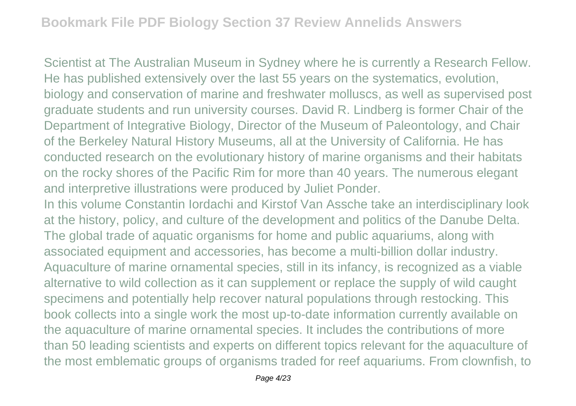Scientist at The Australian Museum in Sydney where he is currently a Research Fellow. He has published extensively over the last 55 years on the systematics, evolution, biology and conservation of marine and freshwater molluscs, as well as supervised post graduate students and run university courses. David R. Lindberg is former Chair of the Department of Integrative Biology, Director of the Museum of Paleontology, and Chair of the Berkeley Natural History Museums, all at the University of California. He has conducted research on the evolutionary history of marine organisms and their habitats on the rocky shores of the Pacific Rim for more than 40 years. The numerous elegant and interpretive illustrations were produced by Juliet Ponder.

In this volume Constantin Iordachi and Kirstof Van Assche take an interdisciplinary look at the history, policy, and culture of the development and politics of the Danube Delta. The global trade of aquatic organisms for home and public aquariums, along with associated equipment and accessories, has become a multi-billion dollar industry. Aquaculture of marine ornamental species, still in its infancy, is recognized as a viable alternative to wild collection as it can supplement or replace the supply of wild caught specimens and potentially help recover natural populations through restocking. This book collects into a single work the most up-to-date information currently available on the aquaculture of marine ornamental species. It includes the contributions of more than 50 leading scientists and experts on different topics relevant for the aquaculture of the most emblematic groups of organisms traded for reef aquariums. From clownfish, to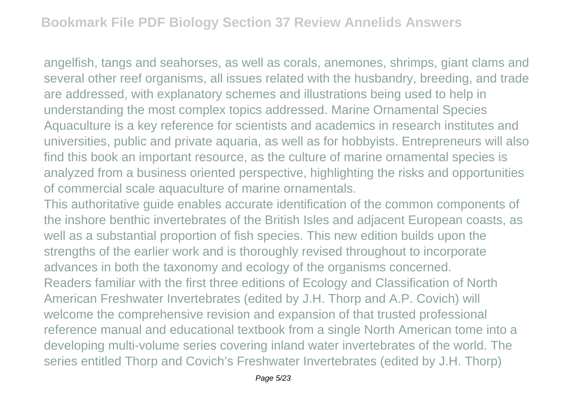angelfish, tangs and seahorses, as well as corals, anemones, shrimps, giant clams and several other reef organisms, all issues related with the husbandry, breeding, and trade are addressed, with explanatory schemes and illustrations being used to help in understanding the most complex topics addressed. Marine Ornamental Species Aquaculture is a key reference for scientists and academics in research institutes and universities, public and private aquaria, as well as for hobbyists. Entrepreneurs will also find this book an important resource, as the culture of marine ornamental species is analyzed from a business oriented perspective, highlighting the risks and opportunities of commercial scale aquaculture of marine ornamentals.

This authoritative guide enables accurate identification of the common components of the inshore benthic invertebrates of the British Isles and adjacent European coasts, as well as a substantial proportion of fish species. This new edition builds upon the strengths of the earlier work and is thoroughly revised throughout to incorporate advances in both the taxonomy and ecology of the organisms concerned. Readers familiar with the first three editions of Ecology and Classification of North American Freshwater Invertebrates (edited by J.H. Thorp and A.P. Covich) will welcome the comprehensive revision and expansion of that trusted professional reference manual and educational textbook from a single North American tome into a developing multi-volume series covering inland water invertebrates of the world. The series entitled Thorp and Covich's Freshwater Invertebrates (edited by J.H. Thorp)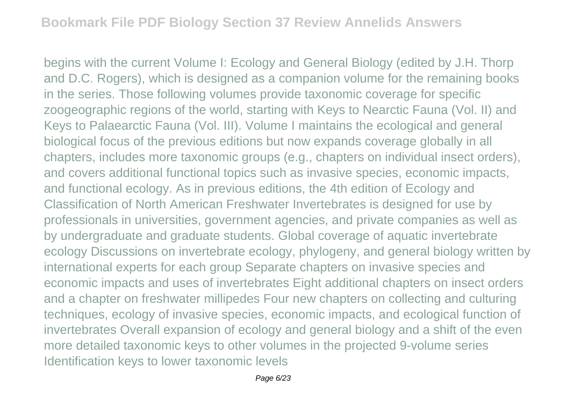begins with the current Volume I: Ecology and General Biology (edited by J.H. Thorp and D.C. Rogers), which is designed as a companion volume for the remaining books in the series. Those following volumes provide taxonomic coverage for specific zoogeographic regions of the world, starting with Keys to Nearctic Fauna (Vol. II) and Keys to Palaearctic Fauna (Vol. III). Volume I maintains the ecological and general biological focus of the previous editions but now expands coverage globally in all chapters, includes more taxonomic groups (e.g., chapters on individual insect orders), and covers additional functional topics such as invasive species, economic impacts, and functional ecology. As in previous editions, the 4th edition of Ecology and Classification of North American Freshwater Invertebrates is designed for use by professionals in universities, government agencies, and private companies as well as by undergraduate and graduate students. Global coverage of aquatic invertebrate ecology Discussions on invertebrate ecology, phylogeny, and general biology written by international experts for each group Separate chapters on invasive species and economic impacts and uses of invertebrates Eight additional chapters on insect orders and a chapter on freshwater millipedes Four new chapters on collecting and culturing techniques, ecology of invasive species, economic impacts, and ecological function of invertebrates Overall expansion of ecology and general biology and a shift of the even more detailed taxonomic keys to other volumes in the projected 9-volume series Identification keys to lower taxonomic levels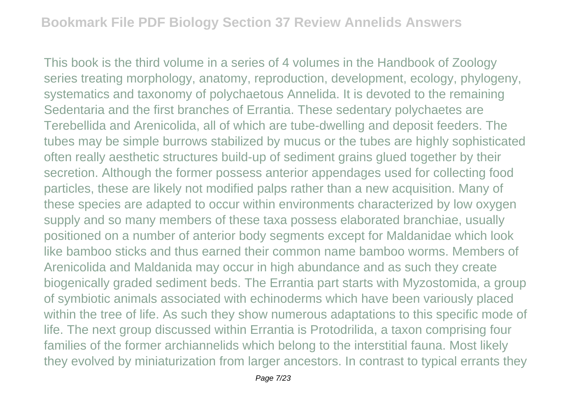This book is the third volume in a series of 4 volumes in the Handbook of Zoology series treating morphology, anatomy, reproduction, development, ecology, phylogeny, systematics and taxonomy of polychaetous Annelida. It is devoted to the remaining Sedentaria and the first branches of Errantia. These sedentary polychaetes are Terebellida and Arenicolida, all of which are tube-dwelling and deposit feeders. The tubes may be simple burrows stabilized by mucus or the tubes are highly sophisticated often really aesthetic structures build-up of sediment grains glued together by their secretion. Although the former possess anterior appendages used for collecting food particles, these are likely not modified palps rather than a new acquisition. Many of these species are adapted to occur within environments characterized by low oxygen supply and so many members of these taxa possess elaborated branchiae, usually positioned on a number of anterior body segments except for Maldanidae which look like bamboo sticks and thus earned their common name bamboo worms. Members of Arenicolida and Maldanida may occur in high abundance and as such they create biogenically graded sediment beds. The Errantia part starts with Myzostomida, a group of symbiotic animals associated with echinoderms which have been variously placed within the tree of life. As such they show numerous adaptations to this specific mode of life. The next group discussed within Errantia is Protodrilida, a taxon comprising four families of the former archiannelids which belong to the interstitial fauna. Most likely they evolved by miniaturization from larger ancestors. In contrast to typical errants they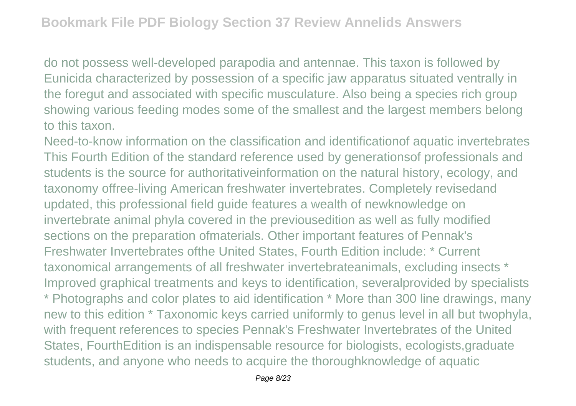do not possess well-developed parapodia and antennae. This taxon is followed by Eunicida characterized by possession of a specific jaw apparatus situated ventrally in the foregut and associated with specific musculature. Also being a species rich group showing various feeding modes some of the smallest and the largest members belong to this taxon.

Need-to-know information on the classification and identificationof aquatic invertebrates This Fourth Edition of the standard reference used by generationsof professionals and students is the source for authoritativeinformation on the natural history, ecology, and taxonomy offree-living American freshwater invertebrates. Completely revisedand updated, this professional field guide features a wealth of newknowledge on invertebrate animal phyla covered in the previousedition as well as fully modified sections on the preparation ofmaterials. Other important features of Pennak's Freshwater Invertebrates ofthe United States, Fourth Edition include: \* Current taxonomical arrangements of all freshwater invertebrateanimals, excluding insects \* Improved graphical treatments and keys to identification, severalprovided by specialists \* Photographs and color plates to aid identification \* More than 300 line drawings, many new to this edition \* Taxonomic keys carried uniformly to genus level in all but twophyla, with frequent references to species Pennak's Freshwater Invertebrates of the United States, FourthEdition is an indispensable resource for biologists, ecologists,graduate students, and anyone who needs to acquire the thoroughknowledge of aquatic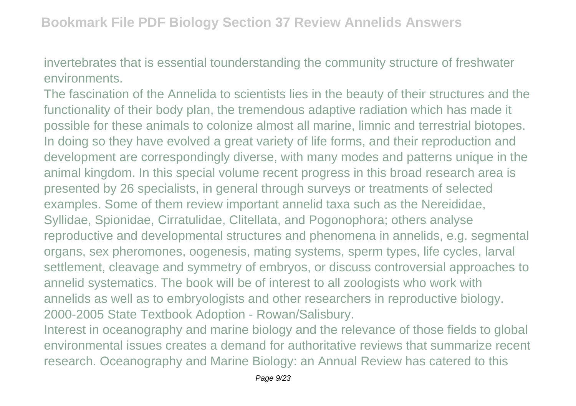invertebrates that is essential tounderstanding the community structure of freshwater environments.

The fascination of the Annelida to scientists lies in the beauty of their structures and the functionality of their body plan, the tremendous adaptive radiation which has made it possible for these animals to colonize almost all marine, limnic and terrestrial biotopes. In doing so they have evolved a great variety of life forms, and their reproduction and development are correspondingly diverse, with many modes and patterns unique in the animal kingdom. In this special volume recent progress in this broad research area is presented by 26 specialists, in general through surveys or treatments of selected examples. Some of them review important annelid taxa such as the Nereididae, Syllidae, Spionidae, Cirratulidae, Clitellata, and Pogonophora; others analyse reproductive and developmental structures and phenomena in annelids, e.g. segmental organs, sex pheromones, oogenesis, mating systems, sperm types, life cycles, larval settlement, cleavage and symmetry of embryos, or discuss controversial approaches to annelid systematics. The book will be of interest to all zoologists who work with annelids as well as to embryologists and other researchers in reproductive biology. 2000-2005 State Textbook Adoption - Rowan/Salisbury.

Interest in oceanography and marine biology and the relevance of those fields to global environmental issues creates a demand for authoritative reviews that summarize recent research. Oceanography and Marine Biology: an Annual Review has catered to this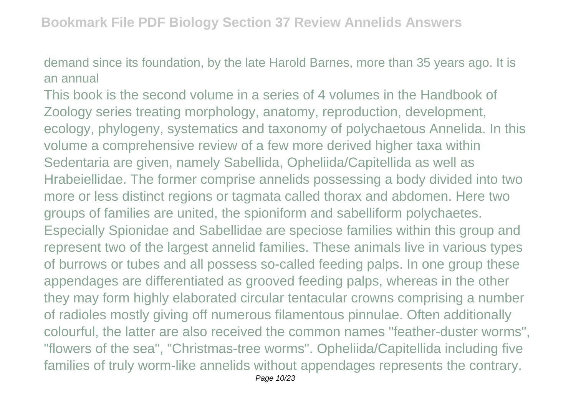demand since its foundation, by the late Harold Barnes, more than 35 years ago. It is an annual

This book is the second volume in a series of 4 volumes in the Handbook of Zoology series treating morphology, anatomy, reproduction, development, ecology, phylogeny, systematics and taxonomy of polychaetous Annelida. In this volume a comprehensive review of a few more derived higher taxa within Sedentaria are given, namely Sabellida, Opheliida/Capitellida as well as Hrabeiellidae. The former comprise annelids possessing a body divided into two more or less distinct regions or tagmata called thorax and abdomen. Here two groups of families are united, the spioniform and sabelliform polychaetes. Especially Spionidae and Sabellidae are speciose families within this group and represent two of the largest annelid families. These animals live in various types of burrows or tubes and all possess so-called feeding palps. In one group these appendages are differentiated as grooved feeding palps, whereas in the other they may form highly elaborated circular tentacular crowns comprising a number of radioles mostly giving off numerous filamentous pinnulae. Often additionally colourful, the latter are also received the common names "feather-duster worms", "flowers of the sea", "Christmas-tree worms". Opheliida/Capitellida including five families of truly worm-like annelids without appendages represents the contrary. Page 10/23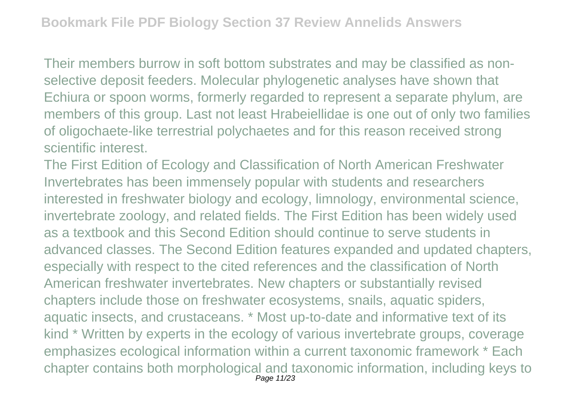Their members burrow in soft bottom substrates and may be classified as nonselective deposit feeders. Molecular phylogenetic analyses have shown that Echiura or spoon worms, formerly regarded to represent a separate phylum, are members of this group. Last not least Hrabeiellidae is one out of only two families of oligochaete-like terrestrial polychaetes and for this reason received strong scientific interest.

The First Edition of Ecology and Classification of North American Freshwater Invertebrates has been immensely popular with students and researchers interested in freshwater biology and ecology, limnology, environmental science, invertebrate zoology, and related fields. The First Edition has been widely used as a textbook and this Second Edition should continue to serve students in advanced classes. The Second Edition features expanded and updated chapters, especially with respect to the cited references and the classification of North American freshwater invertebrates. New chapters or substantially revised chapters include those on freshwater ecosystems, snails, aquatic spiders, aquatic insects, and crustaceans. \* Most up-to-date and informative text of its kind \* Written by experts in the ecology of various invertebrate groups, coverage emphasizes ecological information within a current taxonomic framework \* Each chapter contains both morphological and taxonomic information, including keys to Page 11/23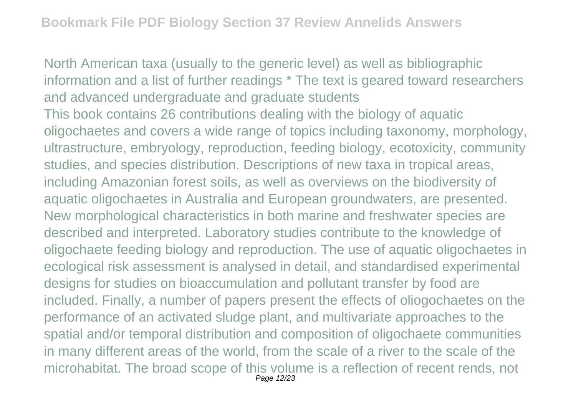North American taxa (usually to the generic level) as well as bibliographic information and a list of further readings \* The text is geared toward researchers and advanced undergraduate and graduate students This book contains 26 contributions dealing with the biology of aquatic oligochaetes and covers a wide range of topics including taxonomy, morphology, ultrastructure, embryology, reproduction, feeding biology, ecotoxicity, community studies, and species distribution. Descriptions of new taxa in tropical areas, including Amazonian forest soils, as well as overviews on the biodiversity of aquatic oligochaetes in Australia and European groundwaters, are presented. New morphological characteristics in both marine and freshwater species are described and interpreted. Laboratory studies contribute to the knowledge of oligochaete feeding biology and reproduction. The use of aquatic oligochaetes in ecological risk assessment is analysed in detail, and standardised experimental designs for studies on bioaccumulation and pollutant transfer by food are included. Finally, a number of papers present the effects of oliogochaetes on the performance of an activated sludge plant, and multivariate approaches to the spatial and/or temporal distribution and composition of oligochaete communities in many different areas of the world, from the scale of a river to the scale of the microhabitat. The broad scope of this volume is a reflection of recent rends, not Page 12/23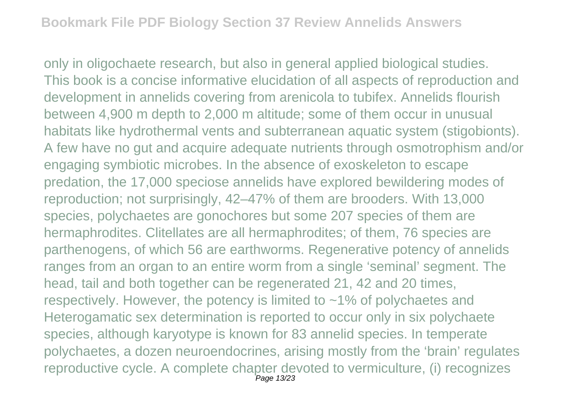only in oligochaete research, but also in general applied biological studies. This book is a concise informative elucidation of all aspects of reproduction and development in annelids covering from arenicola to tubifex. Annelids flourish between 4,900 m depth to 2,000 m altitude; some of them occur in unusual habitats like hydrothermal vents and subterranean aquatic system (stigobionts). A few have no gut and acquire adequate nutrients through osmotrophism and/or engaging symbiotic microbes. In the absence of exoskeleton to escape predation, the 17,000 speciose annelids have explored bewildering modes of reproduction; not surprisingly, 42–47% of them are brooders. With 13,000 species, polychaetes are gonochores but some 207 species of them are hermaphrodites. Clitellates are all hermaphrodites; of them, 76 species are parthenogens, of which 56 are earthworms. Regenerative potency of annelids ranges from an organ to an entire worm from a single 'seminal' segment. The head, tail and both together can be regenerated 21, 42 and 20 times, respectively. However, the potency is limited to  $\sim$  1% of polychaetes and Heterogamatic sex determination is reported to occur only in six polychaete species, although karyotype is known for 83 annelid species. In temperate polychaetes, a dozen neuroendocrines, arising mostly from the 'brain' regulates reproductive cycle. A complete chapter devoted to vermiculture, (i) recognizes Page 13/23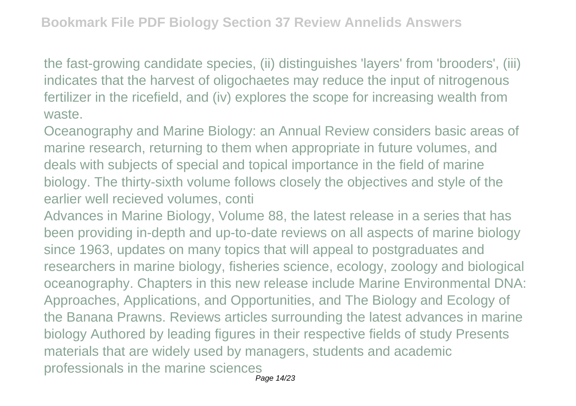the fast-growing candidate species, (ii) distinguishes 'layers' from 'brooders', (iii) indicates that the harvest of oligochaetes may reduce the input of nitrogenous fertilizer in the ricefield, and (iv) explores the scope for increasing wealth from waste.

Oceanography and Marine Biology: an Annual Review considers basic areas of marine research, returning to them when appropriate in future volumes, and deals with subjects of special and topical importance in the field of marine biology. The thirty-sixth volume follows closely the objectives and style of the earlier well recieved volumes, conti

Advances in Marine Biology, Volume 88, the latest release in a series that has been providing in-depth and up-to-date reviews on all aspects of marine biology since 1963, updates on many topics that will appeal to postgraduates and researchers in marine biology, fisheries science, ecology, zoology and biological oceanography. Chapters in this new release include Marine Environmental DNA: Approaches, Applications, and Opportunities, and The Biology and Ecology of the Banana Prawns. Reviews articles surrounding the latest advances in marine biology Authored by leading figures in their respective fields of study Presents materials that are widely used by managers, students and academic professionals in the marine sciences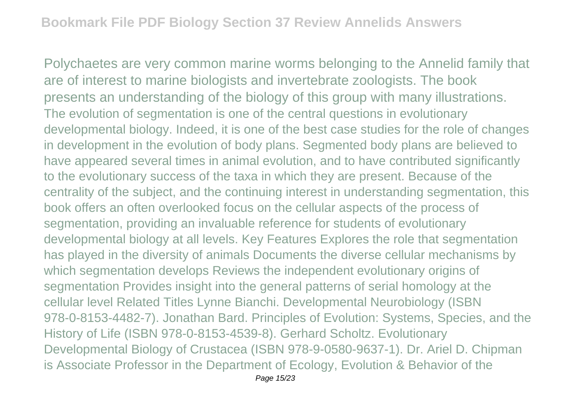Polychaetes are very common marine worms belonging to the Annelid family that are of interest to marine biologists and invertebrate zoologists. The book presents an understanding of the biology of this group with many illustrations. The evolution of segmentation is one of the central questions in evolutionary developmental biology. Indeed, it is one of the best case studies for the role of changes in development in the evolution of body plans. Segmented body plans are believed to have appeared several times in animal evolution, and to have contributed significantly to the evolutionary success of the taxa in which they are present. Because of the centrality of the subject, and the continuing interest in understanding segmentation, this book offers an often overlooked focus on the cellular aspects of the process of segmentation, providing an invaluable reference for students of evolutionary developmental biology at all levels. Key Features Explores the role that segmentation has played in the diversity of animals Documents the diverse cellular mechanisms by which segmentation develops Reviews the independent evolutionary origins of segmentation Provides insight into the general patterns of serial homology at the cellular level Related Titles Lynne Bianchi. Developmental Neurobiology (ISBN 978-0-8153-4482-7). Jonathan Bard. Principles of Evolution: Systems, Species, and the History of Life (ISBN 978-0-8153-4539-8). Gerhard Scholtz. Evolutionary Developmental Biology of Crustacea (ISBN 978-9-0580-9637-1). Dr. Ariel D. Chipman is Associate Professor in the Department of Ecology, Evolution & Behavior of the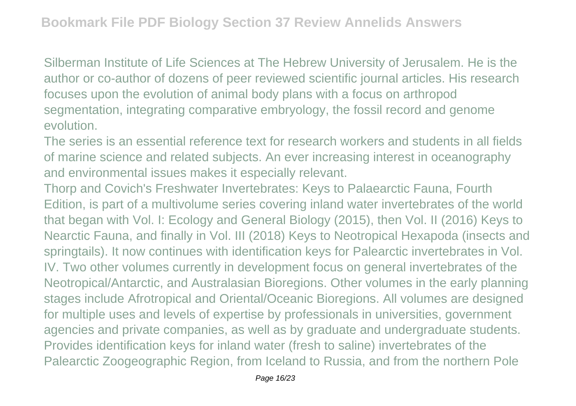Silberman Institute of Life Sciences at The Hebrew University of Jerusalem. He is the author or co-author of dozens of peer reviewed scientific journal articles. His research focuses upon the evolution of animal body plans with a focus on arthropod segmentation, integrating comparative embryology, the fossil record and genome evolution.

The series is an essential reference text for research workers and students in all fields of marine science and related subjects. An ever increasing interest in oceanography and environmental issues makes it especially relevant.

Thorp and Covich's Freshwater Invertebrates: Keys to Palaearctic Fauna, Fourth Edition, is part of a multivolume series covering inland water invertebrates of the world that began with Vol. I: Ecology and General Biology (2015), then Vol. II (2016) Keys to Nearctic Fauna, and finally in Vol. III (2018) Keys to Neotropical Hexapoda (insects and springtails). It now continues with identification keys for Palearctic invertebrates in Vol. IV. Two other volumes currently in development focus on general invertebrates of the Neotropical/Antarctic, and Australasian Bioregions. Other volumes in the early planning stages include Afrotropical and Oriental/Oceanic Bioregions. All volumes are designed for multiple uses and levels of expertise by professionals in universities, government agencies and private companies, as well as by graduate and undergraduate students. Provides identification keys for inland water (fresh to saline) invertebrates of the Palearctic Zoogeographic Region, from Iceland to Russia, and from the northern Pole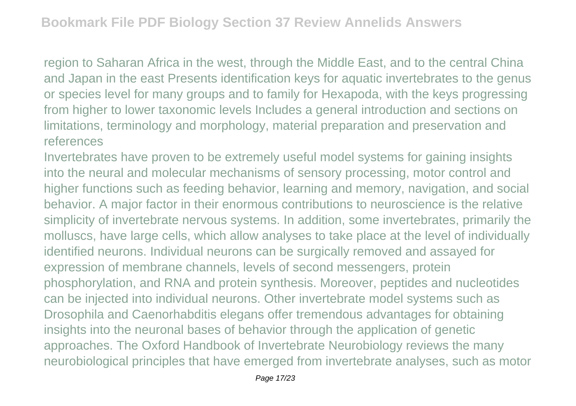region to Saharan Africa in the west, through the Middle East, and to the central China and Japan in the east Presents identification keys for aquatic invertebrates to the genus or species level for many groups and to family for Hexapoda, with the keys progressing from higher to lower taxonomic levels Includes a general introduction and sections on limitations, terminology and morphology, material preparation and preservation and references

Invertebrates have proven to be extremely useful model systems for gaining insights into the neural and molecular mechanisms of sensory processing, motor control and higher functions such as feeding behavior, learning and memory, navigation, and social behavior. A major factor in their enormous contributions to neuroscience is the relative simplicity of invertebrate nervous systems. In addition, some invertebrates, primarily the molluscs, have large cells, which allow analyses to take place at the level of individually identified neurons. Individual neurons can be surgically removed and assayed for expression of membrane channels, levels of second messengers, protein phosphorylation, and RNA and protein synthesis. Moreover, peptides and nucleotides can be injected into individual neurons. Other invertebrate model systems such as Drosophila and Caenorhabditis elegans offer tremendous advantages for obtaining insights into the neuronal bases of behavior through the application of genetic approaches. The Oxford Handbook of Invertebrate Neurobiology reviews the many neurobiological principles that have emerged from invertebrate analyses, such as motor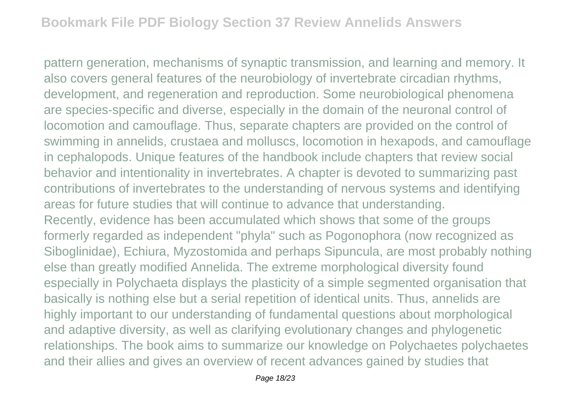pattern generation, mechanisms of synaptic transmission, and learning and memory. It also covers general features of the neurobiology of invertebrate circadian rhythms, development, and regeneration and reproduction. Some neurobiological phenomena are species-specific and diverse, especially in the domain of the neuronal control of locomotion and camouflage. Thus, separate chapters are provided on the control of swimming in annelids, crustaea and molluscs, locomotion in hexapods, and camouflage in cephalopods. Unique features of the handbook include chapters that review social behavior and intentionality in invertebrates. A chapter is devoted to summarizing past contributions of invertebrates to the understanding of nervous systems and identifying areas for future studies that will continue to advance that understanding. Recently, evidence has been accumulated which shows that some of the groups formerly regarded as independent "phyla" such as Pogonophora (now recognized as Siboglinidae), Echiura, Myzostomida and perhaps Sipuncula, are most probably nothing else than greatly modified Annelida. The extreme morphological diversity found especially in Polychaeta displays the plasticity of a simple segmented organisation that basically is nothing else but a serial repetition of identical units. Thus, annelids are highly important to our understanding of fundamental questions about morphological and adaptive diversity, as well as clarifying evolutionary changes and phylogenetic relationships. The book aims to summarize our knowledge on Polychaetes polychaetes and their allies and gives an overview of recent advances gained by studies that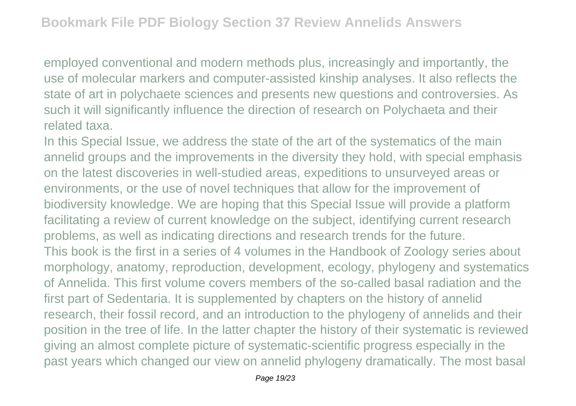employed conventional and modern methods plus, increasingly and importantly, the use of molecular markers and computer-assisted kinship analyses. It also reflects the state of art in polychaete sciences and presents new questions and controversies. As such it will significantly influence the direction of research on Polychaeta and their related taxa.

In this Special Issue, we address the state of the art of the systematics of the main annelid groups and the improvements in the diversity they hold, with special emphasis on the latest discoveries in well-studied areas, expeditions to unsurveyed areas or environments, or the use of novel techniques that allow for the improvement of biodiversity knowledge. We are hoping that this Special Issue will provide a platform facilitating a review of current knowledge on the subject, identifying current research problems, as well as indicating directions and research trends for the future. This book is the first in a series of 4 volumes in the Handbook of Zoology series about morphology, anatomy, reproduction, development, ecology, phylogeny and systematics of Annelida. This first volume covers members of the so-called basal radiation and the first part of Sedentaria. It is supplemented by chapters on the history of annelid research, their fossil record, and an introduction to the phylogeny of annelids and their position in the tree of life. In the latter chapter the history of their systematic is reviewed giving an almost complete picture of systematic-scientific progress especially in the past years which changed our view on annelid phylogeny dramatically. The most basal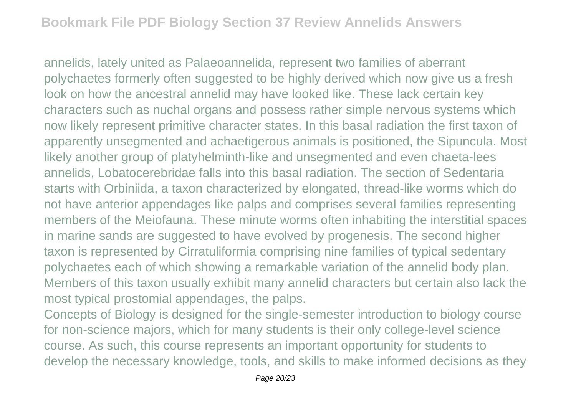annelids, lately united as Palaeoannelida, represent two families of aberrant polychaetes formerly often suggested to be highly derived which now give us a fresh look on how the ancestral annelid may have looked like. These lack certain key characters such as nuchal organs and possess rather simple nervous systems which now likely represent primitive character states. In this basal radiation the first taxon of apparently unsegmented and achaetigerous animals is positioned, the Sipuncula. Most likely another group of platyhelminth-like and unsegmented and even chaeta-lees annelids, Lobatocerebridae falls into this basal radiation. The section of Sedentaria starts with Orbiniida, a taxon characterized by elongated, thread-like worms which do not have anterior appendages like palps and comprises several families representing members of the Meiofauna. These minute worms often inhabiting the interstitial spaces in marine sands are suggested to have evolved by progenesis. The second higher taxon is represented by Cirratuliformia comprising nine families of typical sedentary polychaetes each of which showing a remarkable variation of the annelid body plan. Members of this taxon usually exhibit many annelid characters but certain also lack the most typical prostomial appendages, the palps.

Concepts of Biology is designed for the single-semester introduction to biology course for non-science majors, which for many students is their only college-level science course. As such, this course represents an important opportunity for students to develop the necessary knowledge, tools, and skills to make informed decisions as they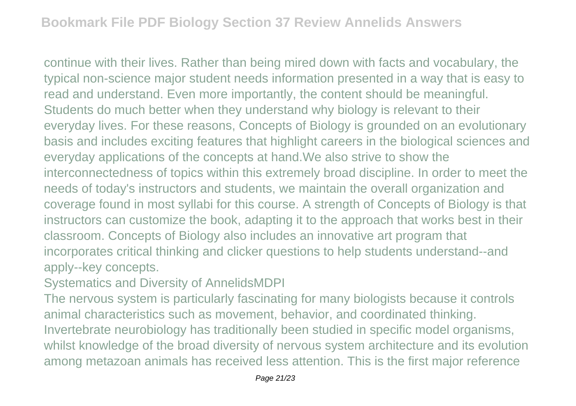continue with their lives. Rather than being mired down with facts and vocabulary, the typical non-science major student needs information presented in a way that is easy to read and understand. Even more importantly, the content should be meaningful. Students do much better when they understand why biology is relevant to their everyday lives. For these reasons, Concepts of Biology is grounded on an evolutionary basis and includes exciting features that highlight careers in the biological sciences and everyday applications of the concepts at hand.We also strive to show the interconnectedness of topics within this extremely broad discipline. In order to meet the needs of today's instructors and students, we maintain the overall organization and coverage found in most syllabi for this course. A strength of Concepts of Biology is that instructors can customize the book, adapting it to the approach that works best in their classroom. Concepts of Biology also includes an innovative art program that incorporates critical thinking and clicker questions to help students understand--and apply--key concepts.

Systematics and Diversity of AnnelidsMDPI

The nervous system is particularly fascinating for many biologists because it controls animal characteristics such as movement, behavior, and coordinated thinking. Invertebrate neurobiology has traditionally been studied in specific model organisms, whilst knowledge of the broad diversity of nervous system architecture and its evolution among metazoan animals has received less attention. This is the first major reference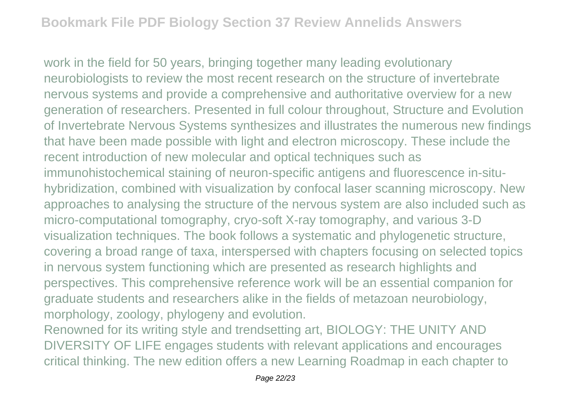work in the field for 50 years, bringing together many leading evolutionary neurobiologists to review the most recent research on the structure of invertebrate nervous systems and provide a comprehensive and authoritative overview for a new generation of researchers. Presented in full colour throughout, Structure and Evolution of Invertebrate Nervous Systems synthesizes and illustrates the numerous new findings that have been made possible with light and electron microscopy. These include the recent introduction of new molecular and optical techniques such as immunohistochemical staining of neuron-specific antigens and fluorescence in-situhybridization, combined with visualization by confocal laser scanning microscopy. New approaches to analysing the structure of the nervous system are also included such as micro-computational tomography, cryo-soft X-ray tomography, and various 3-D visualization techniques. The book follows a systematic and phylogenetic structure, covering a broad range of taxa, interspersed with chapters focusing on selected topics in nervous system functioning which are presented as research highlights and perspectives. This comprehensive reference work will be an essential companion for graduate students and researchers alike in the fields of metazoan neurobiology, morphology, zoology, phylogeny and evolution.

Renowned for its writing style and trendsetting art, BIOLOGY: THE UNITY AND DIVERSITY OF LIFE engages students with relevant applications and encourages critical thinking. The new edition offers a new Learning Roadmap in each chapter to